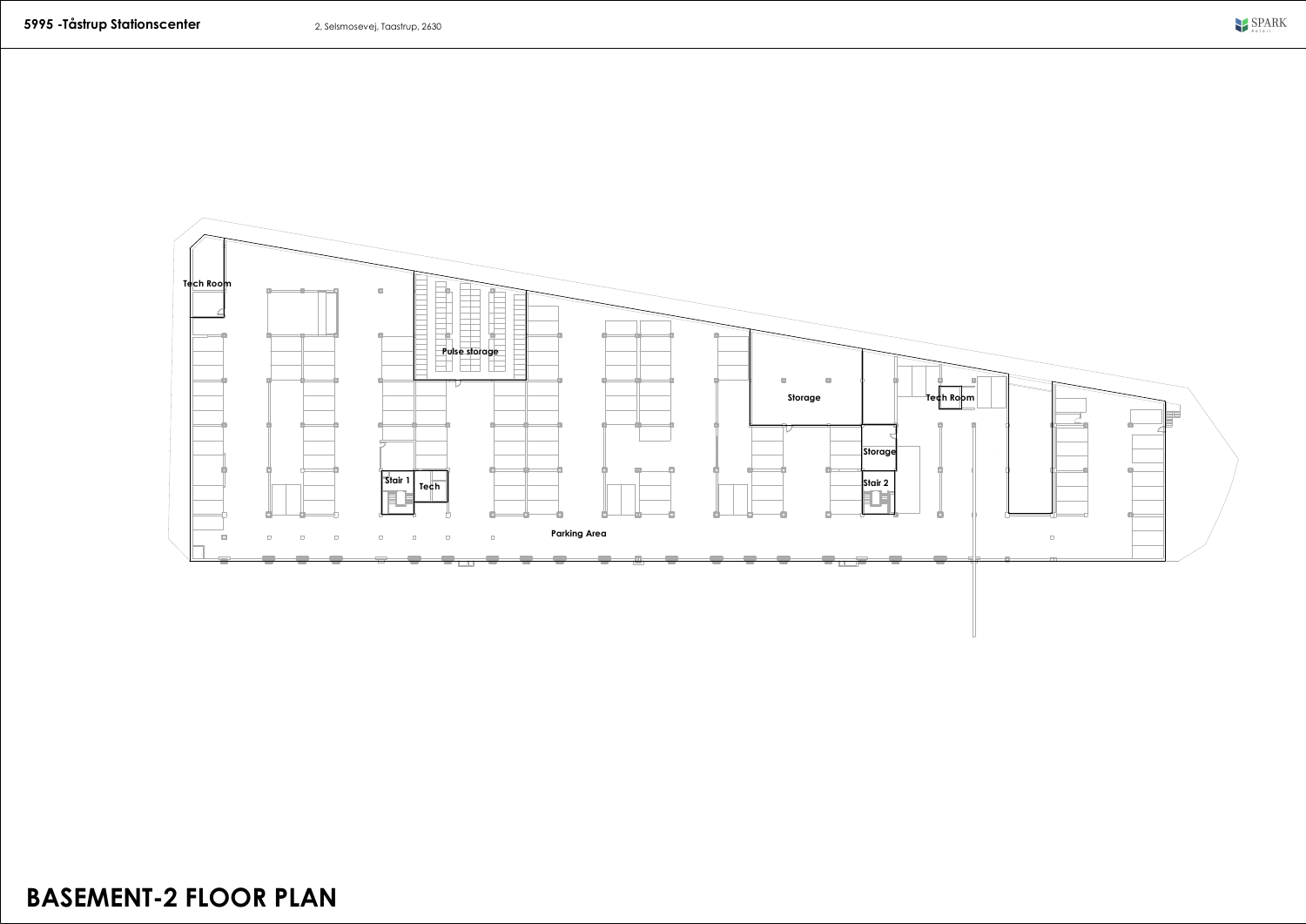

## **BASEMENT-2 FLOOR PLAN**

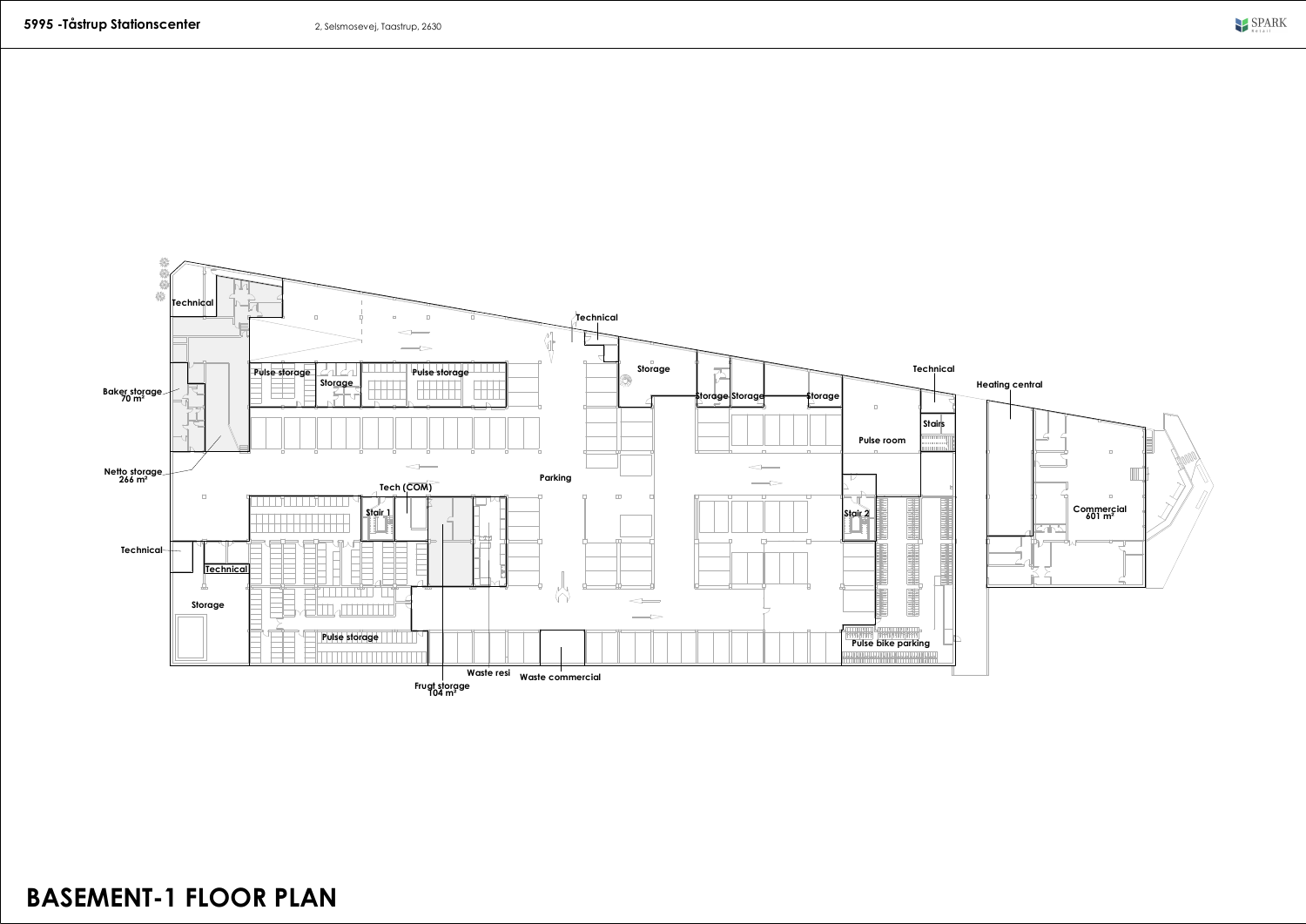

## **BASEMENT-1 FLOOR PLAN**

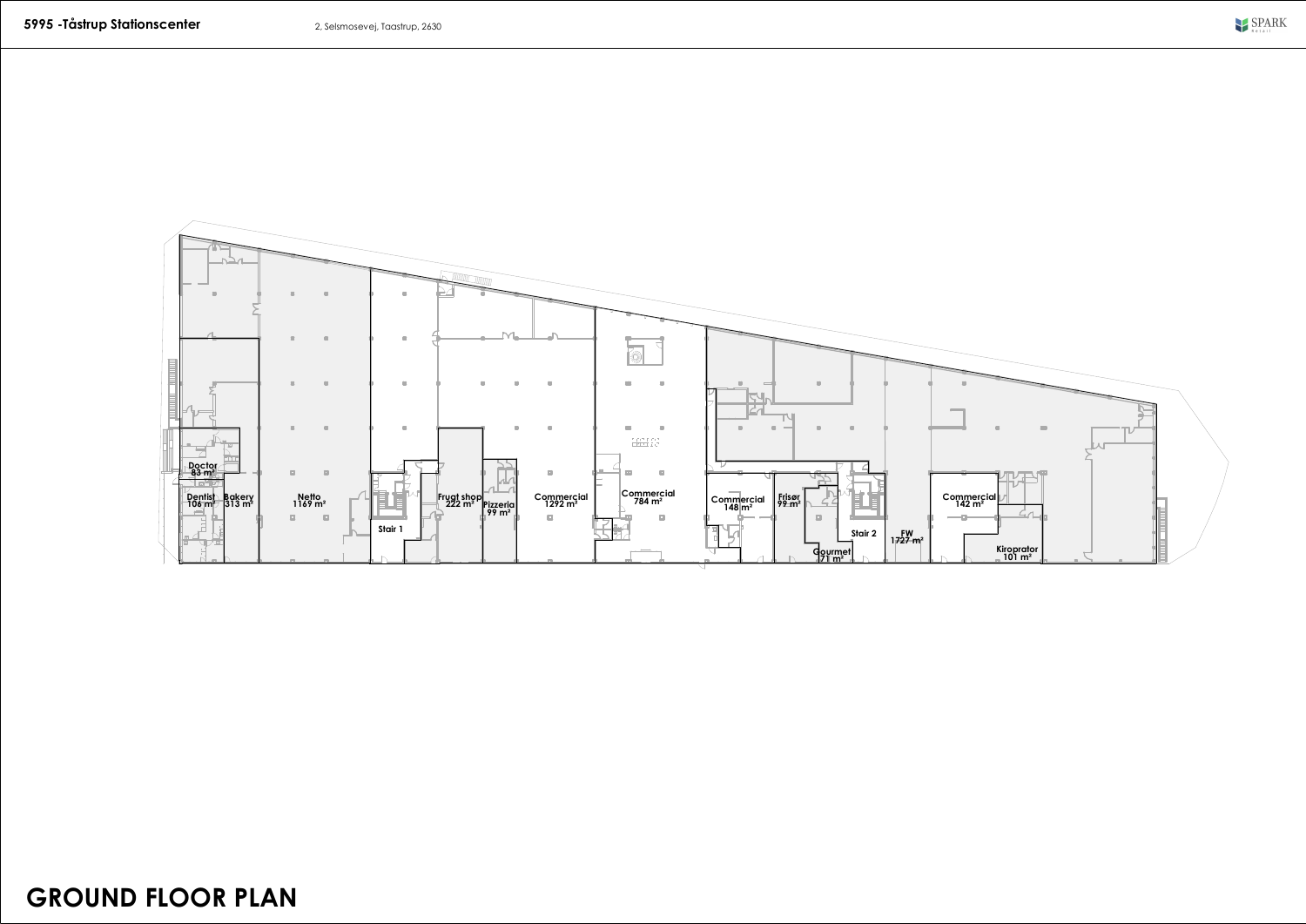

## **GROUND FLOOR PLAN**

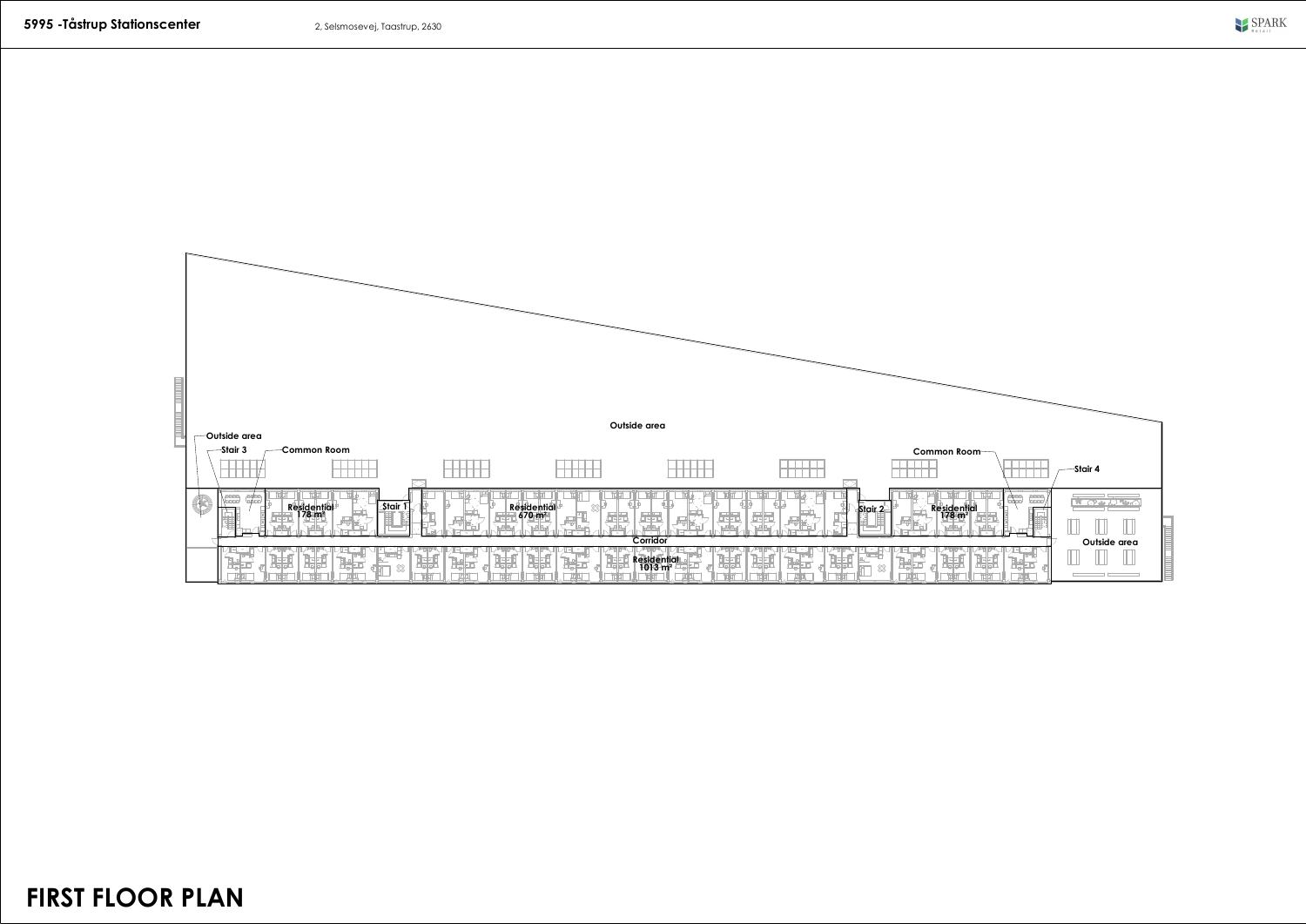

**FIRST FLOOR PLAN**

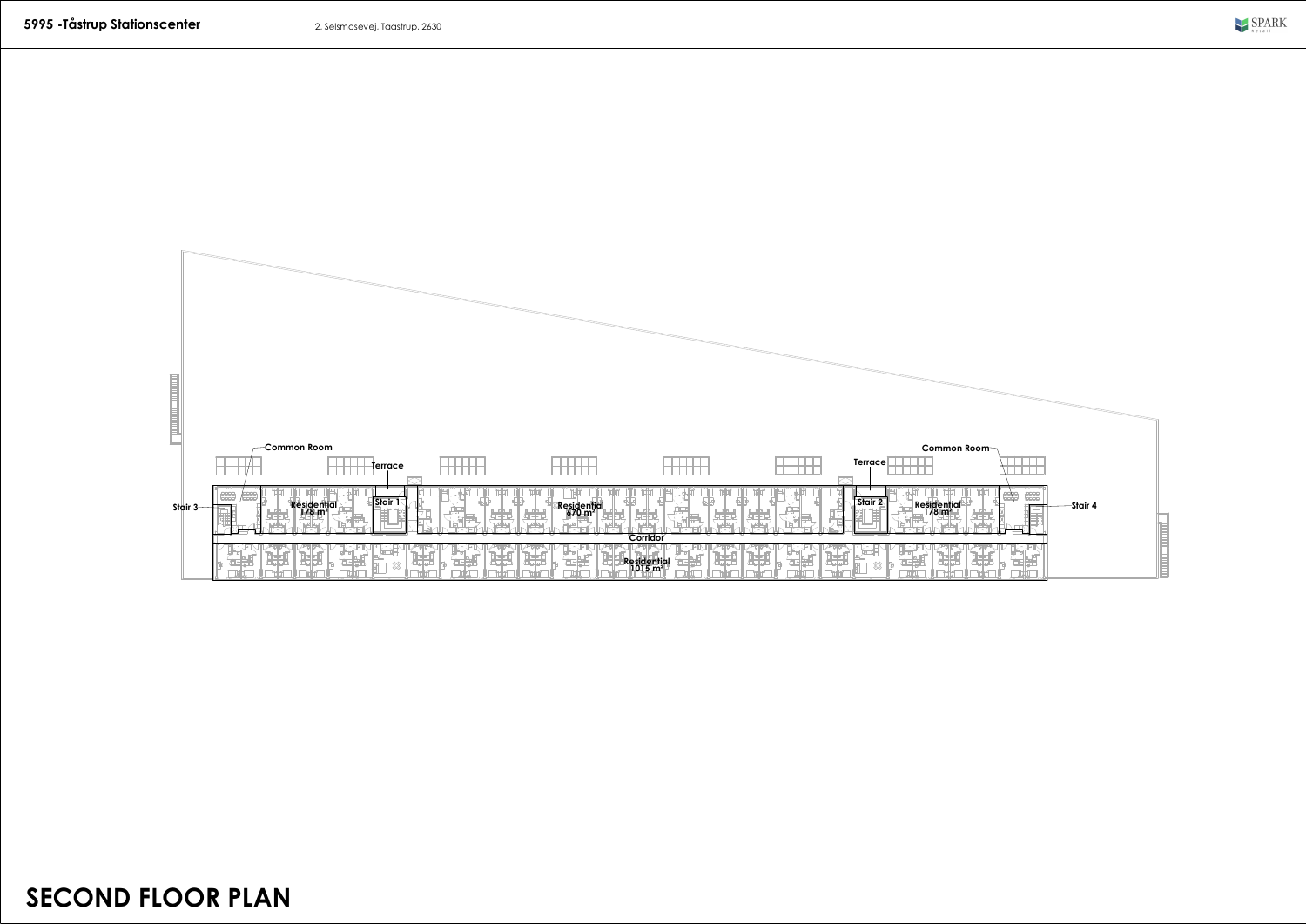

**SECOND FLOOR PLAN**

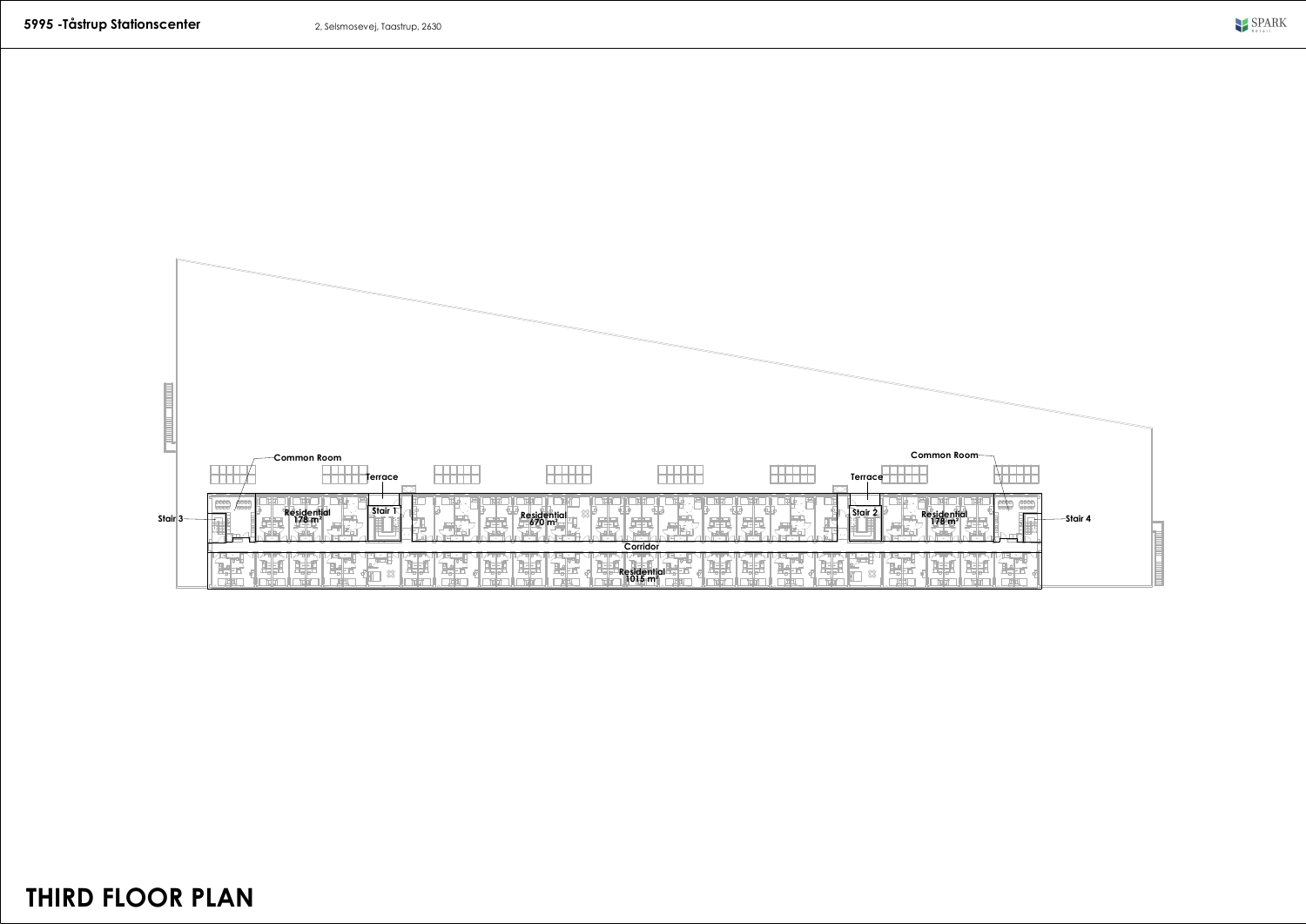

**THIRD FLOOR PLAN**